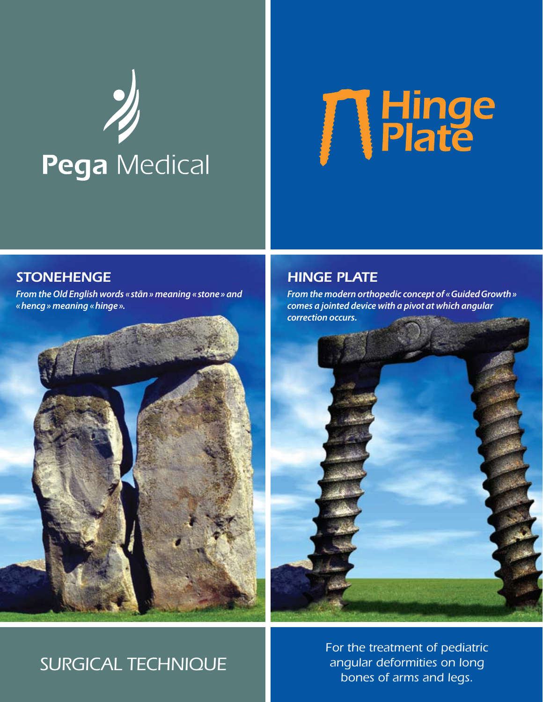# **Pega** Medical



### *stonehenge*

*From the Old English words «stãn» meaning «stone» and «hencg» meaning «hinge».*



### *Hinge plate*

*From the modern orthopedic concept of «GuidedGrowth» comes a jointed device with a pivot at which angular correction occurs.*



### *Surgical technique*

*For the treatment of pediatric angular deformities on long bones of arms and legs.*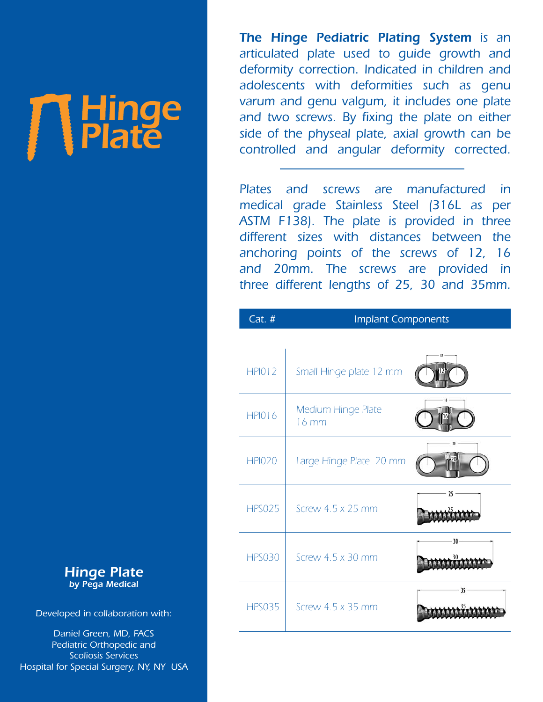*The Hinge Pediatric Plating System is an articulated plate used to guide growth and deformity correction. Indicated in children and adolescents with deformities such as genu varum and genu valgum, it includes one plate and two screws. By fixing the plate on either side of the physeal plate, axial growth can be controlled and angular deformity corrected.* 

*Plates and screws are manufactured in medical grade Stainless Steel (316L as per ASTM F138). The plate is provided in three different sizes with distances between the anchoring points of the screws of 12, 16 and 20mm. The screws are provided in three different lengths of 25, 30 and 35mm.*

| Cat. #        | <b>Implant Components</b>   |    |
|---------------|-----------------------------|----|
|               |                             |    |
| <b>HPI012</b> | Small Hinge plate 12 mm     | 12 |
| <b>HPI016</b> | Medium Hinge Plate<br>16 mm |    |
| <b>HPI020</b> | Large Hinge Plate 20 mm     | 20 |
| <b>HPS025</b> | Screw 4.5 x 25 mm           | 25 |
| <b>HPS030</b> | Screw 4.5 x 30 mm           | 30 |
| <b>HPS035</b> | Screw $4.5 \times 35$ mm    | 35 |

*Hinge Plate by Pega Medical*

**THinge** 

*Developed in collaboration with:*

*Daniel Green, MD, FACS Pediatric Orthopedic and Scoliosis Services Hospital for Special Surgery, NY, NY USA*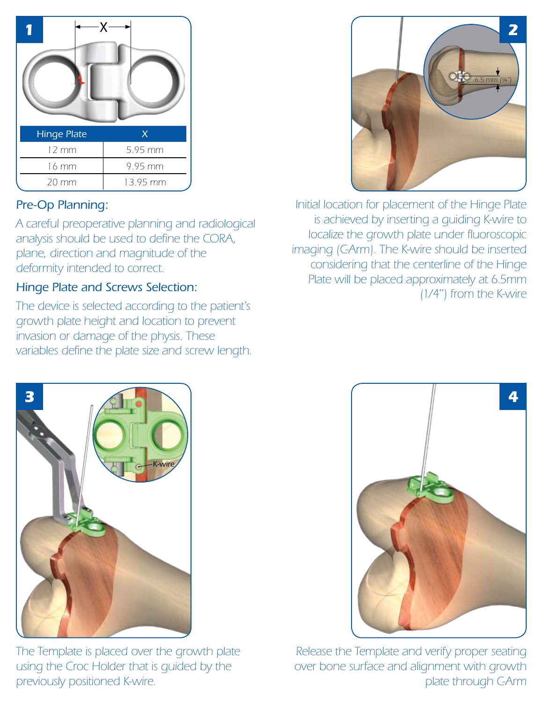

### *Pre-Op Planning:*

*A careful preoperative planning and radiological analysis should be used to define the CORA, plane, direction and magnitude of the deformity intended to correct.*

### *Hinge Plate and Screws Selection:*

*The device is selected according to the patient's growth plate height and location to prevent invasion or damage of the physis. These variables define the plate size and screw length.*



*Initial location for placement of the Hinge Plate is achieved by inserting a guiding K-wire to localize the growth plate under fluoroscopic imaging (C-Arm). The K-wire should be inserted considering that the centerline of the Hinge Plate will be placed approximately at 6.5mm (1/4'') from the K-wire*



*The Template is placed over the growth plate using the Croc Holder that is guided by the previously positioned K-wire.*

![](_page_2_Picture_9.jpeg)

*Release the Template and verify proper seating over bone surface and alignment with growth plate through C-Arm*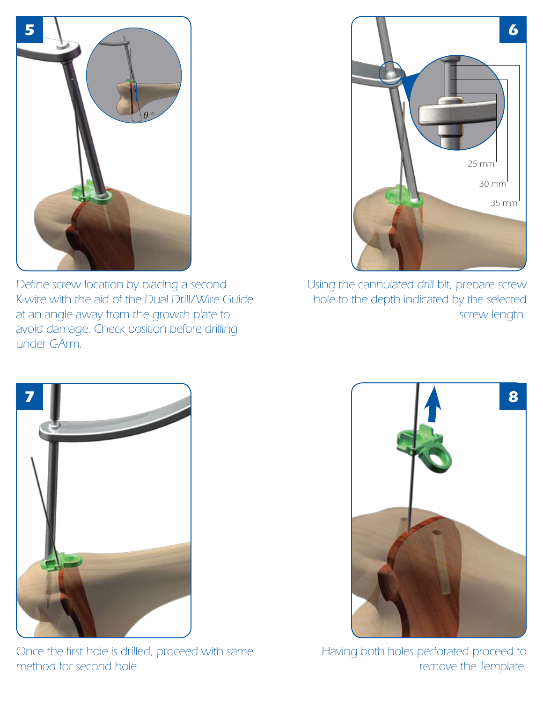![](_page_3_Picture_0.jpeg)

*Define screw location by placing a second K-wire with the aid of the Dual Drill/Wire Guide at an angle away from the growth plate to avoid damage. Check position before drilling under C-Arm.*

![](_page_3_Figure_2.jpeg)

*Using the cannulated drill bit, prepare screw hole to the depth indicated by the selected screw length.*

![](_page_3_Picture_4.jpeg)

*Once the first hole is drilled, proceed with same method for second hole*

![](_page_3_Picture_6.jpeg)

*Having both holes perforated proceed to remove the Template.*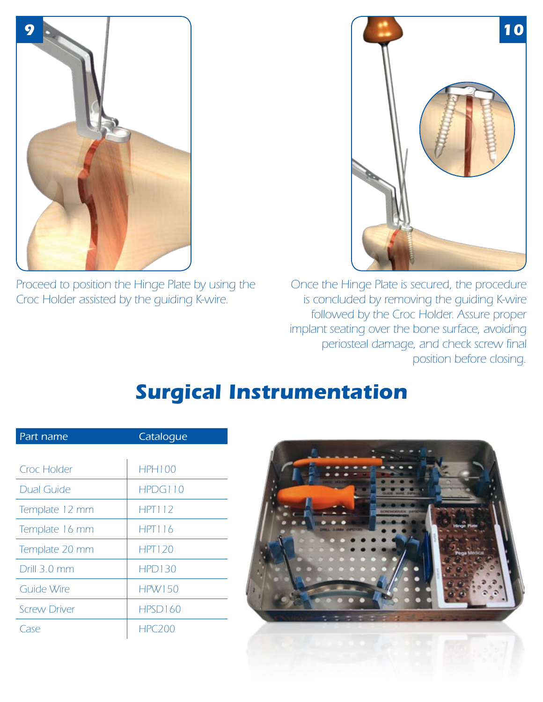![](_page_4_Picture_0.jpeg)

*Proceed to position the Hinge Plate by using the Croc Holder assisted by the guiding K-wire.*

![](_page_4_Picture_2.jpeg)

*Once the Hinge Plate is secured, the procedure is concluded by removing the guiding K-wire followed by the Croc Holder. Assure proper implant seating over the bone surface, avoiding periosteal damage, and check screw final position before closing.*

## *Surgical Instrumentation*

| Part name           | Catalogue     |  |
|---------------------|---------------|--|
|                     |               |  |
| Croc Holder         | <b>HPH100</b> |  |
| <b>Dual Guide</b>   | HPDG110       |  |
| Template 12 mm      | <b>HPT112</b> |  |
| Template 16 mm      | <b>HPT116</b> |  |
| Template 20 mm      | <b>HPT120</b> |  |
| Drill 3.0 mm        | <b>HPD130</b> |  |
| Guide Wire          | <b>HPW150</b> |  |
| <b>Screw Driver</b> | HPSD160       |  |
| Tase                | HPC200        |  |

![](_page_4_Picture_6.jpeg)